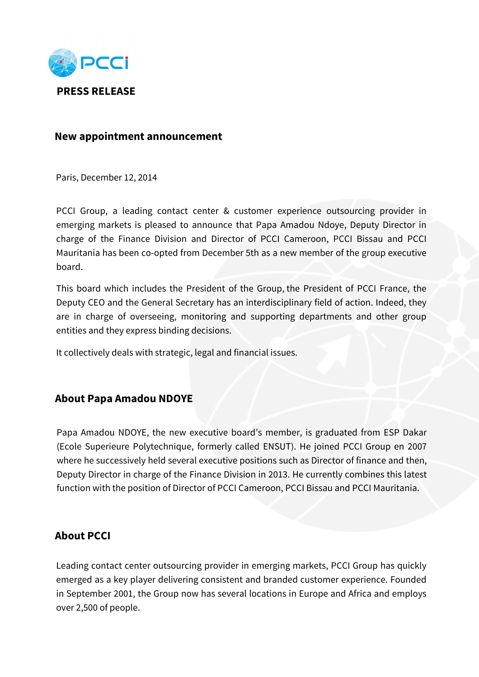

## **New appointment announcement**

Paris, December 12, 2014

PCCI Group, a leading contact center & customer experience outsourcing provider in emerging markets is pleased to announce that Papa Amadou Ndoye, Deputy Director in charge of the Finance Division and Director of PCCI Cameroon, PCCI Bissau and PCCI Mauritania has been co-opted from December 5th as a new member of the group executive board.

This board which includes the President of the Group, the President of PCCI France, the Deputy CEO and the General Secretary has an interdisciplinary field of action. Indeed, they are in charge of overseeing, monitoring and supporting departments and other group entities and they express binding decisions.

It collectively deals with strategic, legal and financial issues.

## **About Papa Amadou NDOYE**

Papa Amadou NDOYE, the new executive board's member, is graduated from ESP Dakar (Ecole Superieure Polytechnique, formerly called ENSUT). He joined PCCI Group en 2007 where he successively held several executive positions such as Director of finance and then, Deputy Director in charge of the Finance Division in 2013. He currently combines this latest function with the position of Director of PCCI Cameroon, PCCI Bissau and PCCI Mauritania.

## **About PCCI**

Leading contact center outsourcing provider in emerging markets, PCCI Group has quickly emerged as a key player delivering consistent and branded customer experience. Founded in September 2001, the Group now has several locations in Europe and Africa and employs over 2,500 of people.